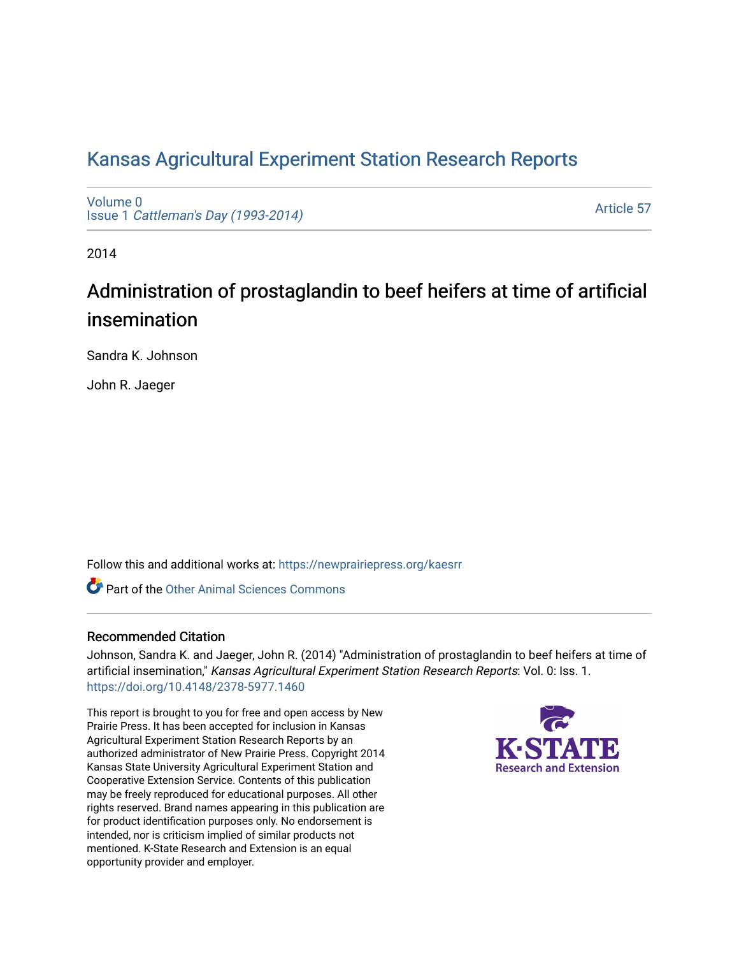## [Kansas Agricultural Experiment Station Research Reports](https://newprairiepress.org/kaesrr)

[Volume 0](https://newprairiepress.org/kaesrr/vol0) Issue 1 [Cattleman's Day \(1993-2014\)](https://newprairiepress.org/kaesrr/vol0/iss1) 

[Article 57](https://newprairiepress.org/kaesrr/vol0/iss1/57) 

2014

# Administration of prostaglandin to beef heifers at time of artificial insemination

Sandra K. Johnson

John R. Jaeger

Follow this and additional works at: [https://newprairiepress.org/kaesrr](https://newprairiepress.org/kaesrr?utm_source=newprairiepress.org%2Fkaesrr%2Fvol0%2Fiss1%2F57&utm_medium=PDF&utm_campaign=PDFCoverPages) 

**C** Part of the [Other Animal Sciences Commons](http://network.bepress.com/hgg/discipline/82?utm_source=newprairiepress.org%2Fkaesrr%2Fvol0%2Fiss1%2F57&utm_medium=PDF&utm_campaign=PDFCoverPages)

#### Recommended Citation

Johnson, Sandra K. and Jaeger, John R. (2014) "Administration of prostaglandin to beef heifers at time of artificial insemination," Kansas Agricultural Experiment Station Research Reports: Vol. 0: Iss. 1. <https://doi.org/10.4148/2378-5977.1460>

This report is brought to you for free and open access by New Prairie Press. It has been accepted for inclusion in Kansas Agricultural Experiment Station Research Reports by an authorized administrator of New Prairie Press. Copyright 2014 Kansas State University Agricultural Experiment Station and Cooperative Extension Service. Contents of this publication may be freely reproduced for educational purposes. All other rights reserved. Brand names appearing in this publication are for product identification purposes only. No endorsement is intended, nor is criticism implied of similar products not mentioned. K-State Research and Extension is an equal opportunity provider and employer.

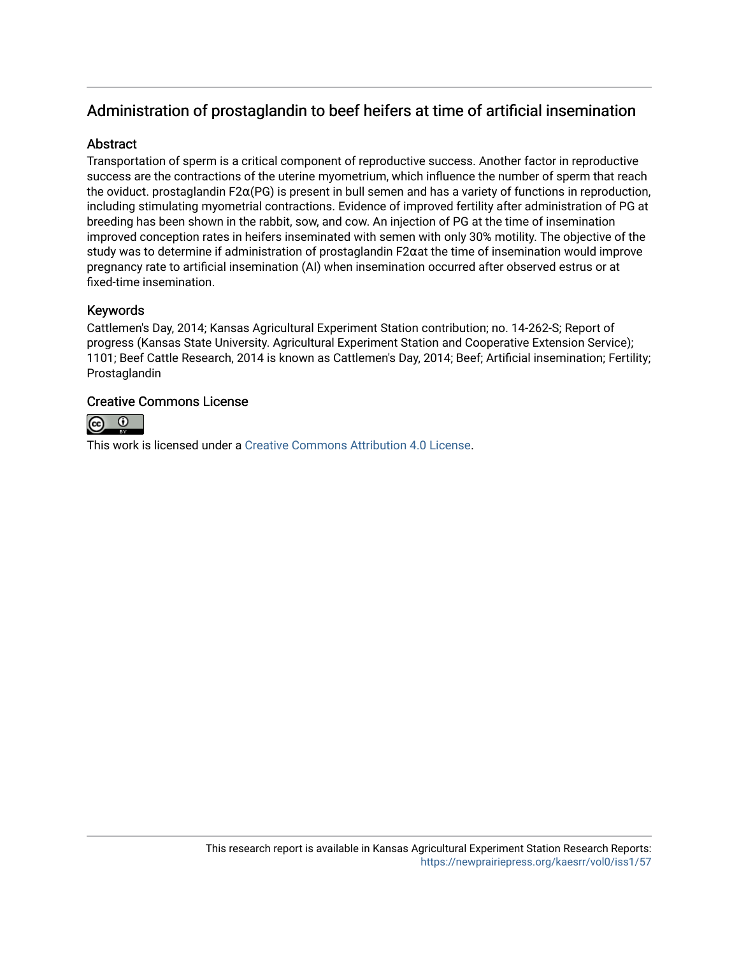## Administration of prostaglandin to beef heifers at time of artificial insemination

#### Abstract

Transportation of sperm is a critical component of reproductive success. Another factor in reproductive success are the contractions of the uterine myometrium, which influence the number of sperm that reach the oviduct. prostaglandin F2α(PG) is present in bull semen and has a variety of functions in reproduction, including stimulating myometrial contractions. Evidence of improved fertility after administration of PG at breeding has been shown in the rabbit, sow, and cow. An injection of PG at the time of insemination improved conception rates in heifers inseminated with semen with only 30% motility. The objective of the study was to determine if administration of prostaglandin F2αat the time of insemination would improve pregnancy rate to artificial insemination (AI) when insemination occurred after observed estrus or at fixed-time insemination.

#### Keywords

Cattlemen's Day, 2014; Kansas Agricultural Experiment Station contribution; no. 14-262-S; Report of progress (Kansas State University. Agricultural Experiment Station and Cooperative Extension Service); 1101; Beef Cattle Research, 2014 is known as Cattlemen's Day, 2014; Beef; Artificial insemination; Fertility; Prostaglandin

#### Creative Commons License



This work is licensed under a [Creative Commons Attribution 4.0 License](https://creativecommons.org/licenses/by/4.0/).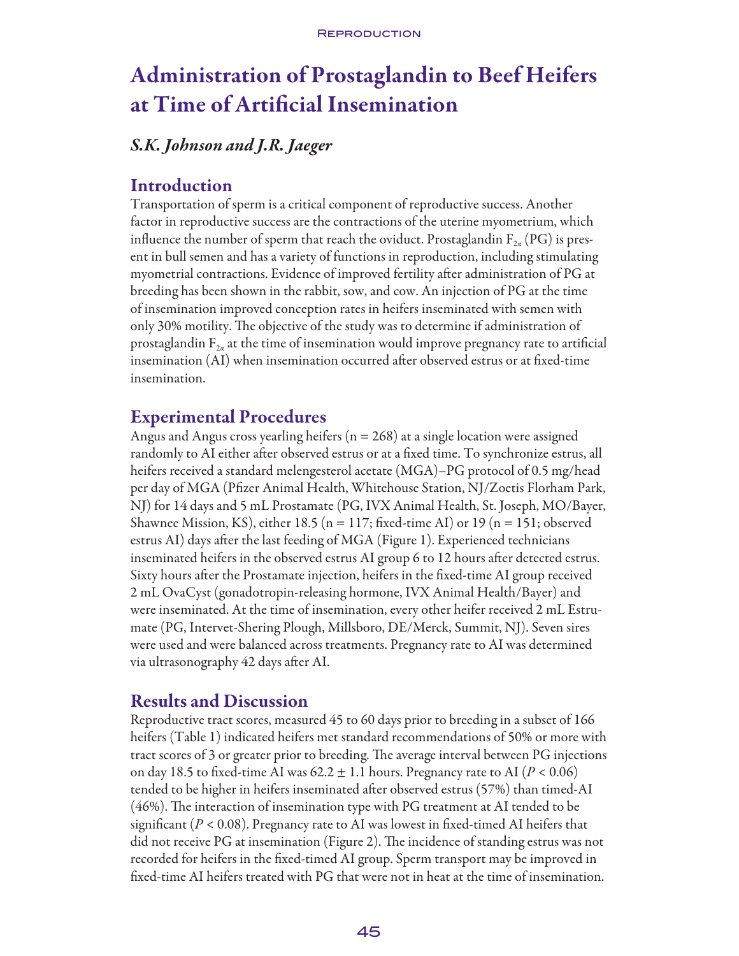# Administration of Prostaglandin to Beef Heifers at Time of Artificial Insemination

## *S.K. Johnson and J.R. Jaeger*

### Introduction

Transportation of sperm is a critical component of reproductive success. Another factor in reproductive success are the contractions of the uterine myometrium, which influence the number of sperm that reach the oviduct. Prostaglandin  $F_{2\alpha}$  (PG) is present in bull semen and has a variety of functions in reproduction, including stimulating myometrial contractions. Evidence of improved fertility after administration of PG at breeding has been shown in the rabbit, sow, and cow. An injection of PG at the time of insemination improved conception rates in heifers inseminated with semen with only 30% motility. The objective of the study was to determine if administration of prostaglandin  $F_{2a}$  at the time of insemination would improve pregnancy rate to artificial insemination (AI) when insemination occurred after observed estrus or at fixed-time insemination.

### Experimental Procedures

Angus and Angus cross yearling heifers ( $n = 268$ ) at a single location were assigned randomly to AI either after observed estrus or at a fixed time. To synchronize estrus, all heifers received a standard melengesterol acetate (MGA)–PG protocol of 0.5 mg/head per day of MGA (Pfizer Animal Health, Whitehouse Station, NJ/Zoetis Florham Park, NJ) for 14 days and 5 mL Prostamate (PG, IVX Animal Health, St. Joseph, MO/Bayer, Shawnee Mission, KS), either 18.5 ( $n = 117$ ; fixed-time AI) or 19 ( $n = 151$ ; observed estrus AI) days after the last feeding of MGA (Figure 1). Experienced technicians inseminated heifers in the observed estrus AI group 6 to 12 hours after detected estrus. Sixty hours after the Prostamate injection, heifers in the fixed-time AI group received 2 mL OvaCyst (gonadotropin-releasing hormone, IVX Animal Health/Bayer) and were inseminated. At the time of insemination, every other heifer received 2 mL Estrumate (PG, Intervet-Shering Plough, Millsboro, DE/Merck, Summit, NJ). Seven sires were used and were balanced across treatments. Pregnancy rate to AI was determined via ultrasonography 42 days after AI.

### Results and Discussion

Reproductive tract scores, measured 45 to 60 days prior to breeding in a subset of 166 heifers (Table 1) indicated heifers met standard recommendations of 50% or more with tract scores of 3 or greater prior to breeding. The average interval between PG injections on day 18.5 to fixed-time AI was  $62.2 \pm 1.1$  hours. Pregnancy rate to AI ( $P < 0.06$ ) tended to be higher in heifers inseminated after observed estrus (57%) than timed-AI (46%). The interaction of insemination type with PG treatment at AI tended to be significant ( $P < 0.08$ ). Pregnancy rate to AI was lowest in fixed-timed AI heifers that did not receive PG at insemination (Figure 2). The incidence of standing estrus was not recorded for heifers in the fixed-timed AI group. Sperm transport may be improved in fixed-time AI heifers treated with PG that were not in heat at the time of insemination.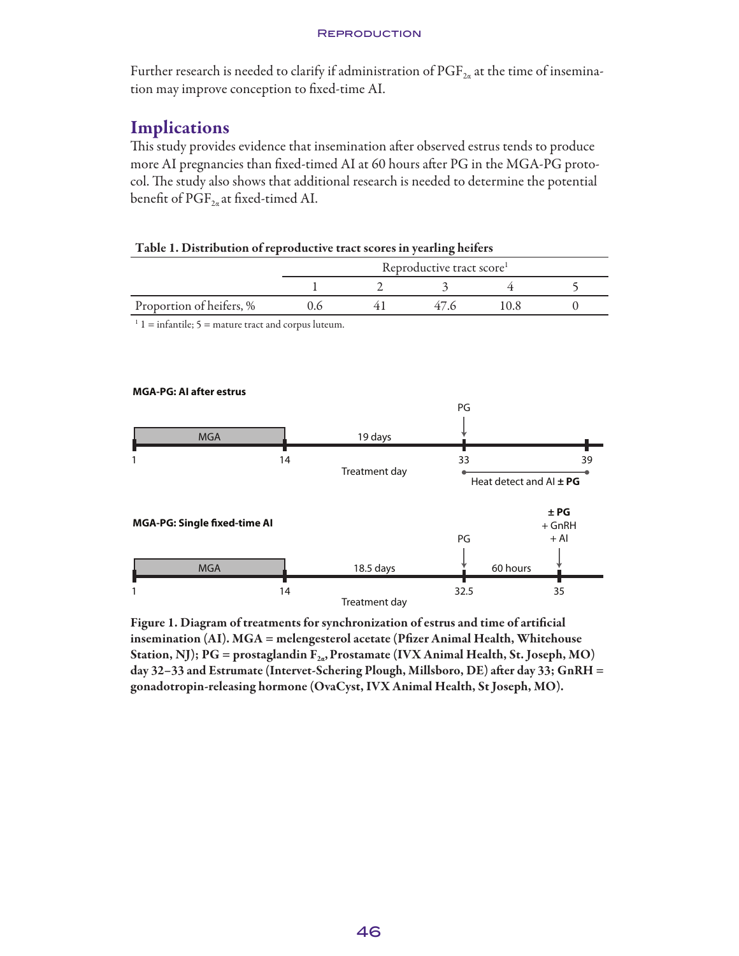#### **REPRODUCTION**

Further research is needed to clarify if administration of  $\mathrm{PGF}_{2\alpha}$  at the time of insemination may improve conception to fixed-time AI.

## **Implications**

This study provides evidence that insemination after observed estrus tends to produce more AI pregnancies than fixed-timed AI at 60 hours after PG in the MGA-PG protocol. The study also shows that additional research is needed to determine the potential benefit of  $PGF_{2a}$  at fixed-timed AI.

| Table 1. Distribution of reproductive tract scores in yearling heifers |                                       |  |      |      |  |
|------------------------------------------------------------------------|---------------------------------------|--|------|------|--|
|                                                                        | Reproductive tract score <sup>1</sup> |  |      |      |  |
|                                                                        |                                       |  |      |      |  |
| Proportion of heifers, %                                               | 06                                    |  | 47 G | 10 X |  |

 $1\,\text{l}$  = infantile; 5 = mature tract and corpus luteum.



Figure 1. Diagram of treatments for synchronization of estrus and time of artificial insemination (AI). MGA = melengesterol acetate (Pfizer Animal Health, Whitehouse Station, NJ); PG = prostaglandin  $F_{2a}$ , Prostamate (IVX Animal Health, St. Joseph, MO) day 32–33 and Estrumate (Intervet-Schering Plough, Millsboro, DE) after day 33; GnRH = gonadotropin-releasing hormone (OvaCyst, IVX Animal Health, St Joseph, MO).